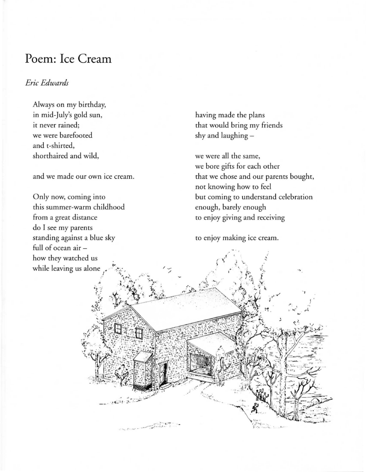## **Poem: Ice Cream**

## *Eric Edwards*

Always on my birthday, in mid-july's gold sun, it never rained; we were barefooted and t-shirred, shorthaired and wild,

and we made our own ice cream.

Only now, coming into this summer-warm childhood from a great distance do I see my parents standing against a blue sky full of ocean air how they watched us while leaving us alone

having made the plans that would bring my friends shy and laughing -

we were all the same, we bore gifts for each other that we chose and our parents bought, not knowing how to feel bur coming to understand celebration enough, barely enough to enjoy giving and receiving

to enjoy making ice cream.